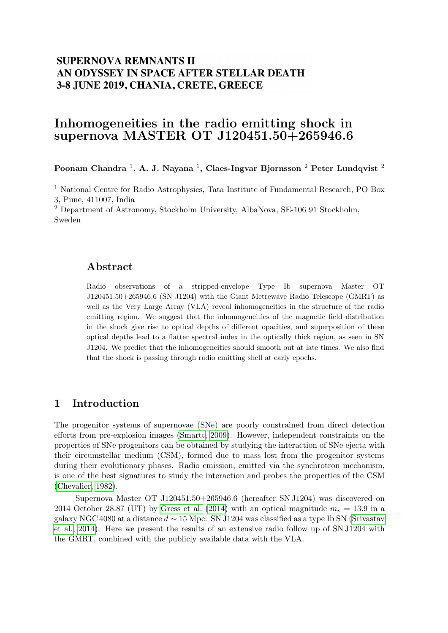# **SUPERNOVA REMNANTS II** AN ODYSSEY IN SPACE AFTER STELLAR DEATH 3-8 JUNE 2019, CHANIA, CRETE, GREECE

# Inhomogeneities in the radio emitting shock in supernova MASTER OT J120451.50+265946.6

Poonam Chandra  $^{1}$ , A. J. Nayana  $^{1}$ , Claes-Ingvar Bjornsson  $^{2}$  Peter Lundqvist  $^{2}$ 

<sup>1</sup> National Centre for Radio Astrophysics, Tata Institute of Fundamental Research, PO Box 3, Pune, 411007, India

<sup>2</sup> Department of Astronomy, Stockholm University, AlbaNova, SE-106 91 Stockholm, Sweden

#### Abstract

Radio observations of a stripped-envelope Type Ib supernova Master OT J120451.50+265946.6 (SN J1204) with the Giant Metrewave Radio Telescope (GMRT) as well as the Very Large Array (VLA) reveal inhomogeneities in the structure of the radio emitting region. We suggest that the inhomogeneities of the magnetic field distribution in the shock give rise to optical depths of different opacities, and superposition of these optical depths lead to a flatter spectral index in the optically thick region, as seen in SN J1204. We predict that the inhomogeneities should smooth out at late times. We also find that the shock is passing through radio emitting shell at early epochs.

#### 1 Introduction

The progenitor systems of supernovae (SNe) are poorly constrained from direct detection efforts from pre-explosion images [\(Smartt, 2009\)](#page-2-0). However, independent constraints on the properties of SNe progenitors can be obtained by studying the interaction of SNe ejecta with their circumstellar medium (CSM), formed due to mass lost from the progenitor systems during their evolutionary phases. Radio emission, emitted via the synchrotron mechanism, is one of the best signatures to study the interaction and probes the properties of the CSM [\(Chevalier, 1982\)](#page-2-1).

Supernova Master OT J120451.50+265946.6 (hereafter SN J1204) was discovered on 2014 October 28.87 (UT) by [Gress et al.](#page-2-2) [\(2014\)](#page-2-2) with an optical magnitude  $m_v = 13.9$  in a galaxy NGC 4080 at a distance  $d \sim 15$  Mpc. SN J1204 was classified as a type Ib SN [\(Srivastav](#page-2-3) [et al., 2014\)](#page-2-3). Here we present the results of an extensive radio follow up of SN J1204 with the GMRT, combined with the publicly available data with the VLA.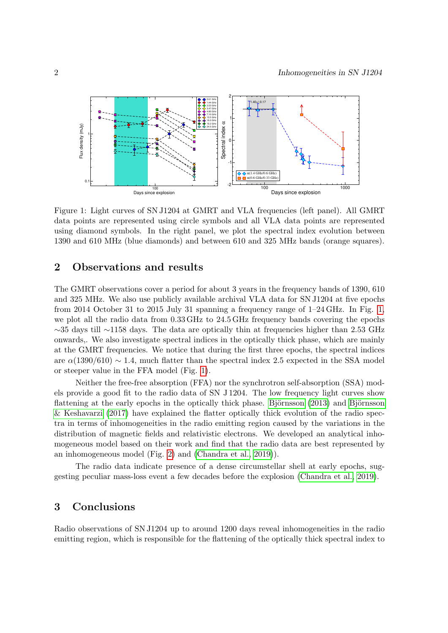

<span id="page-1-0"></span>Figure 1: Light curves of SN J1204 at GMRT and VLA frequencies (left panel). All GMRT data points are represented using circle symbols and all VLA data points are represented using diamond symbols. In the right panel, we plot the spectral index evolution between 1390 and 610 MHz (blue diamonds) and between 610 and 325 MHz bands (orange squares).

### 2 Observations and results

The GMRT observations cover a period for about 3 years in the frequency bands of 1390, 610 and 325 MHz. We also use publicly available archival VLA data for SN J1204 at five epochs from 2014 October 31 to 2015 July 31 spanning a frequency range of 1–24 GHz. In Fig. [1,](#page-1-0) we plot all the radio data from 0.33 GHz to 24.5 GHz frequency bands covering the epochs ∼35 days till ∼1158 days. The data are optically thin at frequencies higher than 2.53 GHz onwards,. We also investigate spectral indices in the optically thick phase, which are mainly at the GMRT frequencies. We notice that during the first three epochs, the spectral indices are  $\alpha(1390/610) \sim 1.4$ , much flatter than the spectral index 2.5 expected in the SSA model or steeper value in the FFA model (Fig. [1\)](#page-1-0).

Neither the free-free absorption (FFA) nor the synchrotron self-absorption (SSA) models provide a good fit to the radio data of SN J 1204. The low frequency light curves show flattening at the early epochs in the optically thick phase. Björnsson  $(2013)$  and Björnsson [& Keshavarzi](#page-2-5) [\(2017\)](#page-2-5) have explained the flatter optically thick evolution of the radio spectra in terms of inhomogeneities in the radio emitting region caused by the variations in the distribution of magnetic fields and relativistic electrons. We developed an analytical inhomogeneous model based on their work and find that the radio data are best represented by an inhomogeneous model (Fig. [2\)](#page-2-6) and [\(Chandra et al., 2019\)](#page-2-7)).

The radio data indicate presence of a dense circumstellar shell at early epochs, suggesting peculiar mass-loss event a few decades before the explosion [\(Chandra et al., 2019\)](#page-2-7).

## 3 Conclusions

Radio observations of SN J1204 up to around 1200 days reveal inhomogeneities in the radio emitting region, which is responsible for the flattening of the optically thick spectral index to